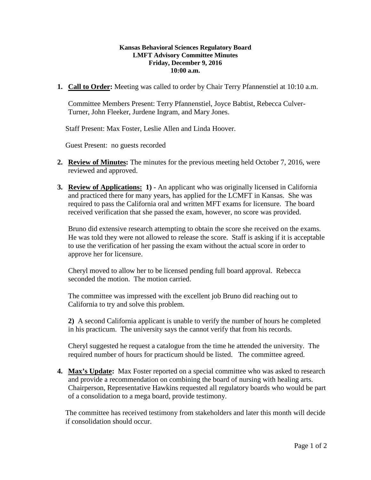## **Kansas Behavioral Sciences Regulatory Board LMFT Advisory Committee Minutes Friday, December 9, 2016 10:00 a.m.**

**1. Call to Order:** Meeting was called to order by Chair Terry Pfannenstiel at 10:10 a.m.

Committee Members Present: Terry Pfannenstiel, Joyce Babtist, Rebecca Culver-Turner, John Fleeker, Jurdene Ingram, and Mary Jones.

Staff Present: Max Foster, Leslie Allen and Linda Hoover.

Guest Present: no guests recorded

- **2. Review of Minutes:** The minutes for the previous meeting held October 7, 2016, were reviewed and approved.
- **3. Review of Applications: 1)** An applicant who was originally licensed in California and practiced there for many years, has applied for the LCMFT in Kansas. She was required to pass the California oral and written MFT exams for licensure. The board received verification that she passed the exam, however, no score was provided.

Bruno did extensive research attempting to obtain the score she received on the exams. He was told they were not allowed to release the score. Staff is asking if it is acceptable to use the verification of her passing the exam without the actual score in order to approve her for licensure.

Cheryl moved to allow her to be licensed pending full board approval. Rebecca seconded the motion. The motion carried.

The committee was impressed with the excellent job Bruno did reaching out to California to try and solve this problem.

**2)** A second California applicant is unable to verify the number of hours he completed in his practicum. The university says the cannot verify that from his records.

Cheryl suggested he request a catalogue from the time he attended the university. The required number of hours for practicum should be listed. The committee agreed.

**4. Max's Update:** Max Foster reported on a special committee who was asked to research and provide a recommendation on combining the board of nursing with healing arts. Chairperson, Representative Hawkins requested all regulatory boards who would be part of a consolidation to a mega board, provide testimony.

The committee has received testimony from stakeholders and later this month will decide if consolidation should occur.